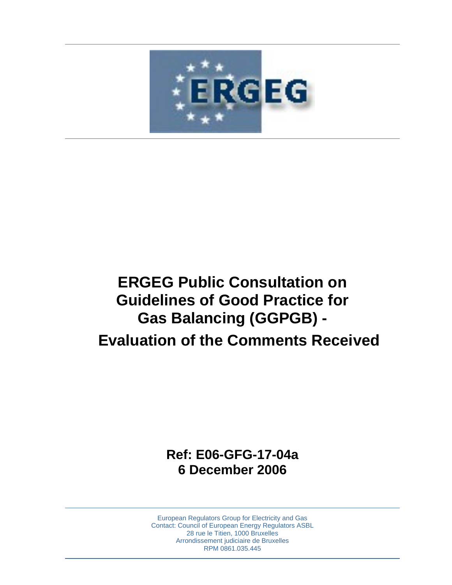

# **ERGEG Public Consultation on Guidelines of Good Practice for Gas Balancing (GGPGB) - Evaluation of the Comments Received**

**Ref: E06-GFG-17-04a 6 December 2006** 

European Regulators Group for Electricity and Gas Contact: Council of European Energy Regulators ASBL 28 rue le Titien, 1000 Bruxelles Arrondissement judiciaire de Bruxelles RPM 0861.035.445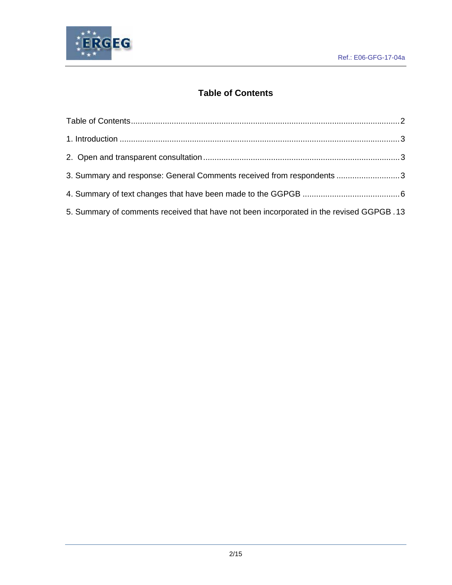

# **Table of Contents**

| 3. Summary and response: General Comments received from respondents 3                    |  |
|------------------------------------------------------------------------------------------|--|
|                                                                                          |  |
| 5. Summary of comments received that have not been incorporated in the revised GGPGB .13 |  |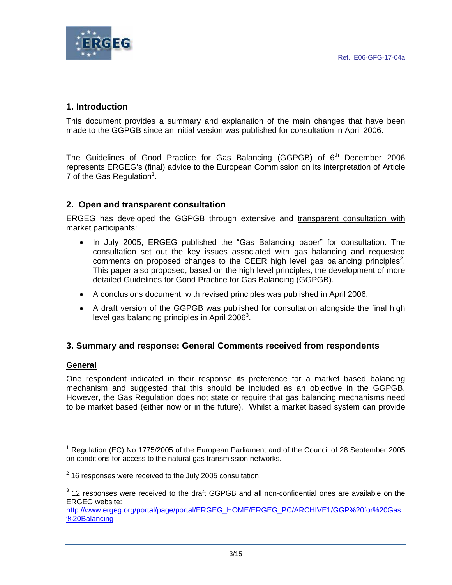

# **1. Introduction**

This document provides a summary and explanation of the main changes that have been made to the GGPGB since an initial version was published for consultation in April 2006.

The Guidelines of Good Practice for Gas Balancing (GGPGB) of  $6<sup>th</sup>$  December 2006 represents ERGEG's (final) advice to the European Commission on its interpretation of Article 7 of the Gas Regulation<sup>1</sup>.

# **2. Open and transparent consultation**

ERGEG has developed the GGPGB through extensive and transparent consultation with market participants:

- In July 2005, ERGEG published the "Gas Balancing paper" for consultation. The consultation set out the key issues associated with gas balancing and requested comments on proposed changes to the CEER high level gas balancing principles<sup>2</sup>. This paper also proposed, based on the high level principles, the development of more detailed Guidelines for Good Practice for Gas Balancing (GGPGB).
- A conclusions document, with revised principles was published in April 2006.
- A draft version of the GGPGB was published for consultation alongside the final high level gas balancing principles in April 2006 $^3$ .

#### **3. Summary and response: General Comments received from respondents**

#### **General**

One respondent indicated in their response its preference for a market based balancing mechanism and suggested that this should be included as an objective in the GGPGB. However, the Gas Regulation does not state or require that gas balancing mechanisms need to be market based (either now or in the future). Whilst a market based system can provide

<sup>&</sup>lt;sup>1</sup> Regulation (EC) No 1775/2005 of the European Parliament and of the Council of 28 September 2005 on conditions for access to the natural gas transmission networks.

 $2$  16 responses were received to the July 2005 consultation.

 $3$  12 responses were received to the draft GGPGB and all non-confidential ones are available on the ERGEG website:

http://www.ergeg.org/portal/page/portal/ERGEG\_HOME/ERGEG\_PC/ARCHIVE1/GGP%20for%20Gas %20Balancing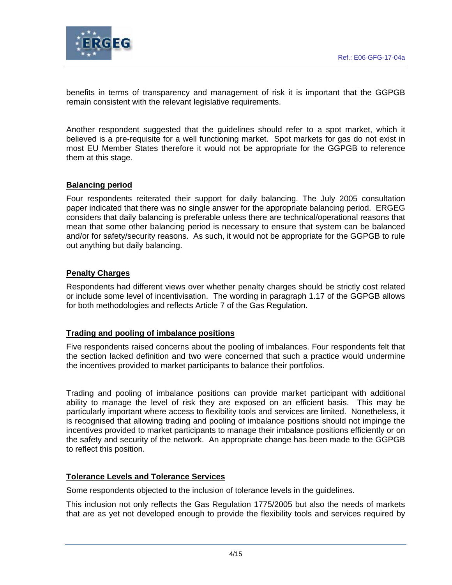

benefits in terms of transparency and management of risk it is important that the GGPGB remain consistent with the relevant legislative requirements.

Another respondent suggested that the guidelines should refer to a spot market, which it believed is a pre-requisite for a well functioning market. Spot markets for gas do not exist in most EU Member States therefore it would not be appropriate for the GGPGB to reference them at this stage.

## **Balancing period**

Four respondents reiterated their support for daily balancing. The July 2005 consultation paper indicated that there was no single answer for the appropriate balancing period. ERGEG considers that daily balancing is preferable unless there are technical/operational reasons that mean that some other balancing period is necessary to ensure that system can be balanced and/or for safety/security reasons. As such, it would not be appropriate for the GGPGB to rule out anything but daily balancing.

#### **Penalty Charges**

Respondents had different views over whether penalty charges should be strictly cost related or include some level of incentivisation. The wording in paragraph 1.17 of the GGPGB allows for both methodologies and reflects Article 7 of the Gas Regulation.

#### **Trading and pooling of imbalance positions**

Five respondents raised concerns about the pooling of imbalances. Four respondents felt that the section lacked definition and two were concerned that such a practice would undermine the incentives provided to market participants to balance their portfolios.

Trading and pooling of imbalance positions can provide market participant with additional ability to manage the level of risk they are exposed on an efficient basis. This may be particularly important where access to flexibility tools and services are limited. Nonetheless, it is recognised that allowing trading and pooling of imbalance positions should not impinge the incentives provided to market participants to manage their imbalance positions efficiently or on the safety and security of the network. An appropriate change has been made to the GGPGB to reflect this position.

#### **Tolerance Levels and Tolerance Services**

Some respondents objected to the inclusion of tolerance levels in the guidelines.

This inclusion not only reflects the Gas Regulation 1775/2005 but also the needs of markets that are as yet not developed enough to provide the flexibility tools and services required by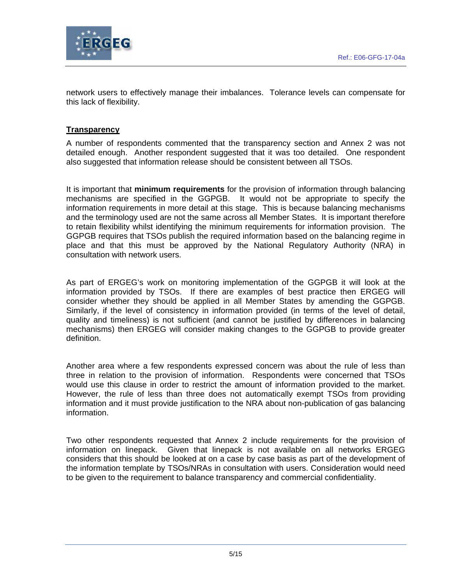

network users to effectively manage their imbalances. Tolerance levels can compensate for this lack of flexibility.

# **Transparency**

A number of respondents commented that the transparency section and Annex 2 was not detailed enough. Another respondent suggested that it was too detailed. One respondent also suggested that information release should be consistent between all TSOs.

It is important that **minimum requirements** for the provision of information through balancing mechanisms are specified in the GGPGB. It would not be appropriate to specify the information requirements in more detail at this stage. This is because balancing mechanisms and the terminology used are not the same across all Member States. It is important therefore to retain flexibility whilst identifying the minimum requirements for information provision. The GGPGB requires that TSOs publish the required information based on the balancing regime in place and that this must be approved by the National Regulatory Authority (NRA) in consultation with network users.

As part of ERGEG's work on monitoring implementation of the GGPGB it will look at the information provided by TSOs. If there are examples of best practice then ERGEG will consider whether they should be applied in all Member States by amending the GGPGB. Similarly, if the level of consistency in information provided (in terms of the level of detail, quality and timeliness) is not sufficient (and cannot be justified by differences in balancing mechanisms) then ERGEG will consider making changes to the GGPGB to provide greater definition.

Another area where a few respondents expressed concern was about the rule of less than three in relation to the provision of information. Respondents were concerned that TSOs would use this clause in order to restrict the amount of information provided to the market. However, the rule of less than three does not automatically exempt TSOs from providing information and it must provide justification to the NRA about non-publication of gas balancing information.

Two other respondents requested that Annex 2 include requirements for the provision of information on linepack. Given that linepack is not available on all networks ERGEG considers that this should be looked at on a case by case basis as part of the development of the information template by TSOs/NRAs in consultation with users. Consideration would need to be given to the requirement to balance transparency and commercial confidentiality.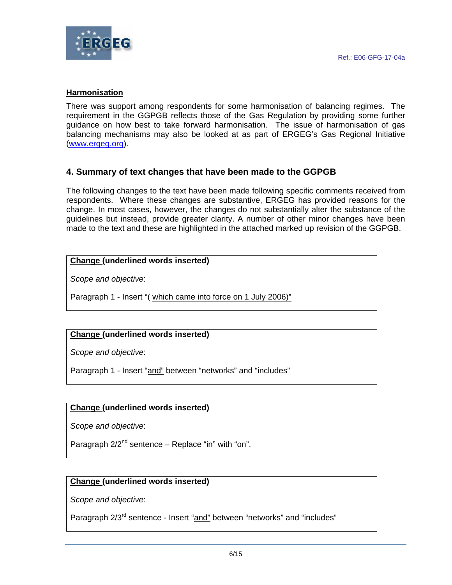

#### **Harmonisation**

There was support among respondents for some harmonisation of balancing regimes. The requirement in the GGPGB reflects those of the Gas Regulation by providing some further guidance on how best to take forward harmonisation. The issue of harmonisation of gas balancing mechanisms may also be looked at as part of ERGEG's Gas Regional Initiative (www.ergeg.org).

#### **4. Summary of text changes that have been made to the GGPGB**

The following changes to the text have been made following specific comments received from respondents. Where these changes are substantive, ERGEG has provided reasons for the change. In most cases, however, the changes do not substantially alter the substance of the guidelines but instead, provide greater clarity. A number of other minor changes have been made to the text and these are highlighted in the attached marked up revision of the GGPGB.

#### **Change (underlined words inserted)**

*Scope and objective*:

Paragraph 1 - Insert "( which came into force on 1 July 2006)"

#### **Change (underlined words inserted)**

*Scope and objective*:

Paragraph 1 - Insert "and" between "networks" and "includes"

#### **Change (underlined words inserted)**

*Scope and objective*:

Paragraph  $2/2^{nd}$  sentence – Replace "in" with "on".

#### **Change (underlined words inserted)**

*Scope and objective*:

Paragraph  $2/3^{rd}$  sentence - Insert "and" between "networks" and "includes"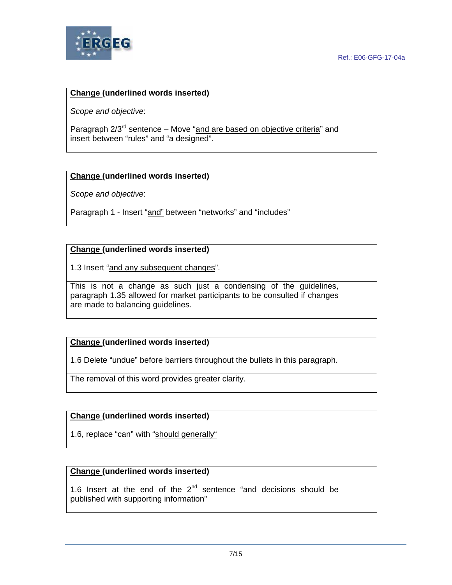

*Scope and objective*:

Paragraph 2/3<sup>rd</sup> sentence – Move "and are based on objective criteria" and insert between "rules" and "a designed".

#### **Change (underlined words inserted)**

*Scope and objective*:

Paragraph 1 - Insert "and" between "networks" and "includes"

#### **Change (underlined words inserted)**

1.3 Insert "and any subsequent changes".

This is not a change as such just a condensing of the guidelines, paragraph 1.35 allowed for market participants to be consulted if changes are made to balancing guidelines.

#### **Change (underlined words inserted)**

1.6 Delete "undue" before barriers throughout the bullets in this paragraph.

The removal of this word provides greater clarity.

#### **Change (underlined words inserted)**

1.6, replace "can" with "should generally"

## **Change (underlined words inserted)**

1.6 Insert at the end of the  $2^{nd}$  sentence "and decisions should be published with supporting information"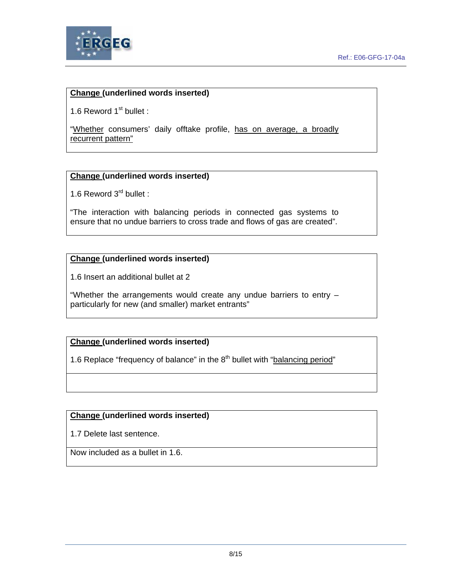

1.6 Reword  $1<sup>st</sup>$  bullet :

"Whether consumers' daily offtake profile, has on average, a broadly recurrent pattern"

#### **Change (underlined words inserted)**

1.6 Reword 3<sup>rd</sup> bullet :

"The interaction with balancing periods in connected gas systems to ensure that no undue barriers to cross trade and flows of gas are created".

#### **Change (underlined words inserted)**

1.6 Insert an additional bullet at 2

"Whether the arrangements would create any undue barriers to entry – particularly for new (and smaller) market entrants"

#### **Change (underlined words inserted)**

1.6 Replace "frequency of balance" in the  $8<sup>th</sup>$  bullet with "balancing period"

#### **Change (underlined words inserted)**

1.7 Delete last sentence.

Now included as a bullet in 1.6.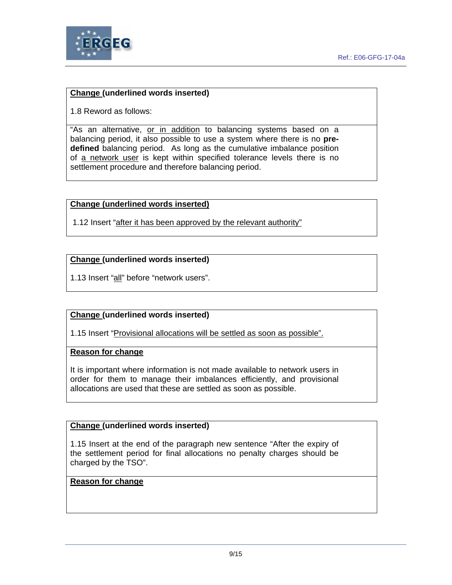

1.8 Reword as follows:

"As an alternative, or in addition to balancing systems based on a balancing period, it also possible to use a system where there is no **predefined** balancing period. As long as the cumulative imbalance position of a network user is kept within specified tolerance levels there is no settlement procedure and therefore balancing period.

#### **Change (underlined words inserted)**

1.12 Insert "after it has been approved by the relevant authority"

#### **Change (underlined words inserted)**

1.13 Insert "all" before "network users".

#### **Change (underlined words inserted)**

1.15 Insert "Provisional allocations will be settled as soon as possible".

#### **Reason for change**

It is important where information is not made available to network users in order for them to manage their imbalances efficiently, and provisional allocations are used that these are settled as soon as possible.

#### **Change (underlined words inserted)**

1.15 Insert at the end of the paragraph new sentence "After the expiry of the settlement period for final allocations no penalty charges should be charged by the TSO".

#### **Reason for change**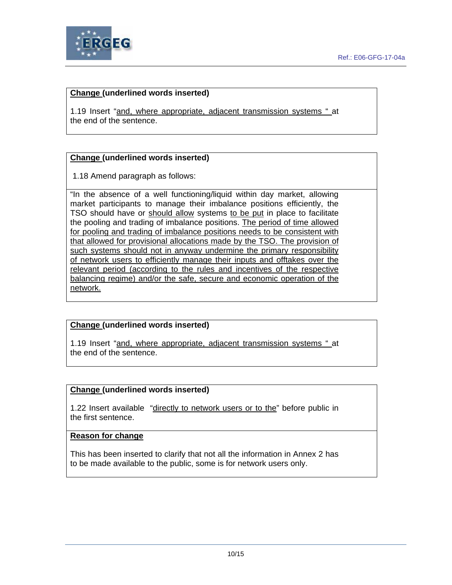

1.19 Insert "and, where appropriate, adjacent transmission systems " at the end of the sentence.

## **Change (underlined words inserted)**

1.18 Amend paragraph as follows:

"In the absence of a well functioning/liquid within day market, allowing market participants to manage their imbalance positions efficiently, the TSO should have or should allow systems to be put in place to facilitate the pooling and trading of imbalance positions. The period of time allowed for pooling and trading of imbalance positions needs to be consistent with that allowed for provisional allocations made by the TSO. The provision of such systems should not in anyway undermine the primary responsibility of network users to efficiently manage their inputs and offtakes over the relevant period (according to the rules and incentives of the respective balancing regime) and/or the safe, secure and economic operation of the network.

# **Change (underlined words inserted)**

1.19 Insert "and, where appropriate, adjacent transmission systems " at the end of the sentence.

#### **Change (underlined words inserted)**

1.22 Insert available "directly to network users or to the" before public in the first sentence.

#### **Reason for change**

This has been inserted to clarify that not all the information in Annex 2 has to be made available to the public, some is for network users only.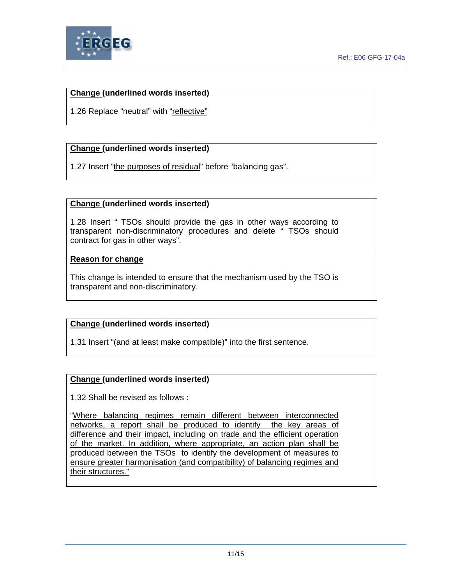

1.26 Replace "neutral" with "reflective"

## **Change (underlined words inserted)**

1.27 Insert "the purposes of residual" before "balancing gas".

#### **Change (underlined words inserted)**

1.28 Insert " TSOs should provide the gas in other ways according to transparent non-discriminatory procedures and delete " TSOs should contract for gas in other ways".

#### **Reason for change**

This change is intended to ensure that the mechanism used by the TSO is transparent and non-discriminatory.

#### **Change (underlined words inserted)**

1.31 Insert "(and at least make compatible)" into the first sentence.

#### **Change (underlined words inserted)**

1.32 Shall be revised as follows :

"Where balancing regimes remain different between interconnected networks, a report shall be produced to identify the key areas of difference and their impact, including on trade and the efficient operation of the market. In addition, where appropriate, an action plan shall be produced between the TSOs to identify the development of measures to ensure greater harmonisation (and compatibility) of balancing regimes and their structures."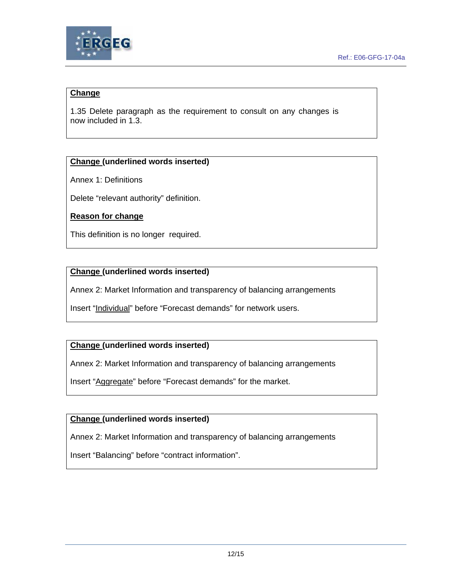

# **Change**

1.35 Delete paragraph as the requirement to consult on any changes is now included in 1.3.

## **Change (underlined words inserted)**

Annex 1: Definitions

Delete "relevant authority" definition.

## **Reason for change**

This definition is no longer required.

#### **Change (underlined words inserted)**

Annex 2: Market Information and transparency of balancing arrangements

Insert "Individual" before "Forecast demands" for network users.

# **Change (underlined words inserted)**

Annex 2: Market Information and transparency of balancing arrangements

Insert "Aggregate" before "Forecast demands" for the market.

#### **Change (underlined words inserted)**

Annex 2: Market Information and transparency of balancing arrangements

Insert "Balancing" before "contract information".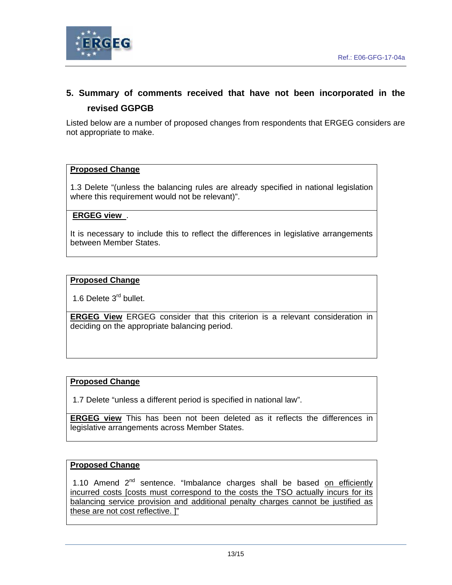

# **5. Summary of comments received that have not been incorporated in the revised GGPGB**

Listed below are a number of proposed changes from respondents that ERGEG considers are not appropriate to make.

#### **Proposed Change**

1.3 Delete "(unless the balancing rules are already specified in national legislation where this requirement would not be relevant)".

#### **ERGEG view** .

It is necessary to include this to reflect the differences in legislative arrangements between Member States.

#### **Proposed Change**

1.6 Delete 3<sup>rd</sup> bullet.

**ERGEG View** ERGEG consider that this criterion is a relevant consideration in deciding on the appropriate balancing period.

#### **Proposed Change**

1.7 Delete "unless a different period is specified in national law".

**ERGEG view** This has been not been deleted as it reflects the differences in legislative arrangements across Member States.

#### **Proposed Change**

1.10 Amend  $2^{nd}$  sentence. "Imbalance charges shall be based on efficiently incurred costs [costs must correspond to the costs the TSO actually incurs for its balancing service provision and additional penalty charges cannot be justified as these are not cost reflective. ]"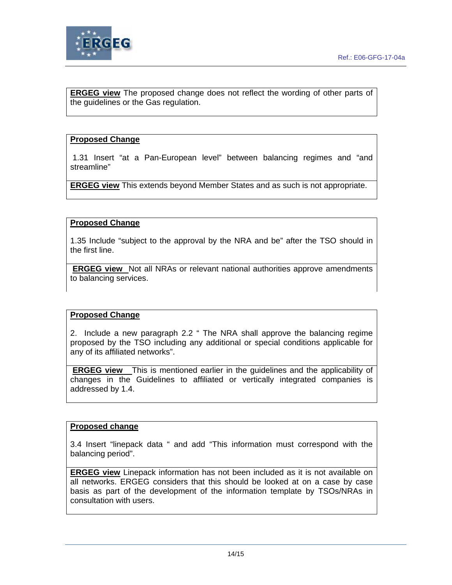

**ERGEG view** The proposed change does not reflect the wording of other parts of the guidelines or the Gas regulation.

#### **Proposed Change**

 1.31 Insert "at a Pan-European level" between balancing regimes and "and streamline"

**ERGEG view** This extends beyond Member States and as such is not appropriate.

#### **Proposed Change**

1.35 Include "subject to the approval by the NRA and be" after the TSO should in the first line.

**ERGEG view** Not all NRAs or relevant national authorities approve amendments to balancing services.

#### **Proposed Change**

2. Include a new paragraph 2.2 " The NRA shall approve the balancing regime proposed by the TSO including any additional or special conditions applicable for any of its affiliated networks".

**ERGEG view** This is mentioned earlier in the guidelines and the applicability of changes in the Guidelines to affiliated or vertically integrated companies is addressed by 1.4.

#### **Proposed change**

3.4 Insert "linepack data " and add "This information must correspond with the balancing period".

**ERGEG view** Linepack information has not been included as it is not available on all networks. ERGEG considers that this should be looked at on a case by case basis as part of the development of the information template by TSOs/NRAs in consultation with users.